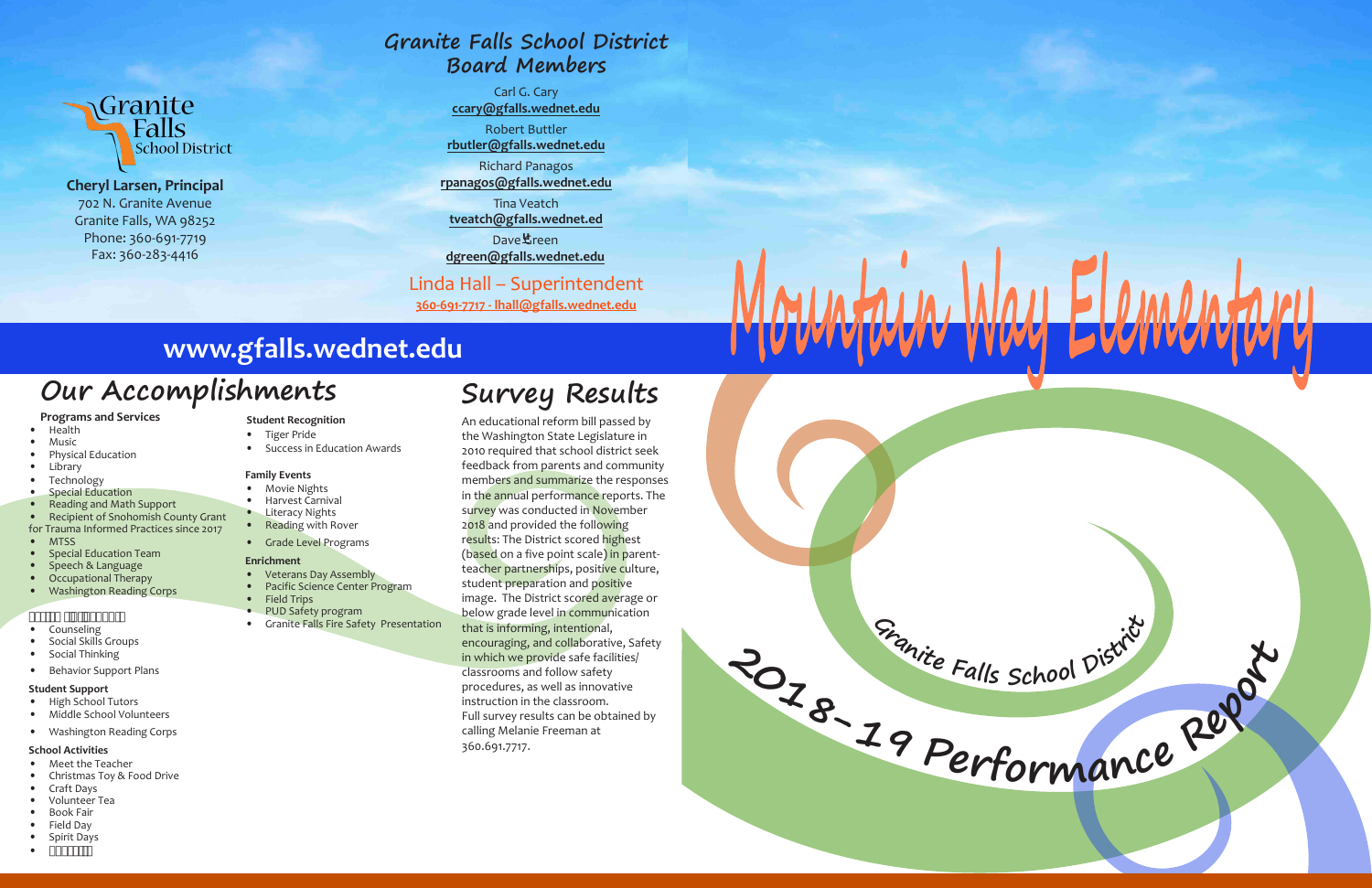



**Cheryl Larsen, Principal** 702 N. Granite Avenue Granite Falls, WA 98252 Phone: 360-691-7719 Fax: 360-283-4416

#### **Programs and Services**

- Health
- Music • Physical Education
- Library
- **Technology**
- **Special Education**
- Reading and Math Support
- Recipient of Snohomish County Grant

- **Counseling**
- Social Skills Groups
- Social Thinking
- Behavior Support Plans

- Meet the Teacher
- Christmas Toy & Food Drive
- Craft Days
- Volunteer Tea
- Book Fair
- Field Day
- Spirit Days
- $\chi^a$  op $\overline{\mathcal{P}}$

for Trauma Informed Practices since 2017

- MTSS
- Special Education Team
- Speech & Language
- Occupational Therapy
- Washington Reading Corps

#### ้µ<sup>-</sup>°¡ © <sup>-</sup> ั«⊄' ±¬¬«®

- Veterans Day Assembly
- Pacific Science Center Program
- Field Trips
- PUD Safety program
- **Granite Falls Fire Safety Presentation**

#### **Student Support**

- High School Tutors
- Middle School Volunteers
- Washington Reading Corps

#### **School Activities**

#### **Student Recognition**

- Tiger Pride
- Success in Education Awards

#### **Family Events**

- Movie Nights
- Harvest Carnival
- Literacy Nights
- Reading with Rover
- Grade Level Programs

#### **Enrichment**

Dave**也**reen **dgreen@gfalls.wednet.edu**

## **Our Accomplishments**

## **www.gfalls.wednet.edu**

**Survey Results**

An educational reform bill passed by

the Washington State Legislature in 2010 required that school district seek feedback from parents and community members and summarize the responses in the annual performance reports. The survey was conducted in November 2018 and provided the following results: The District scored highest (based on a five point scale) in parentteacher partnerships, positive culture, student preparation and positive image. The District scored average or below grade level in communication that is informing, intentional, encouraging, and collaborative, Safety in which we provide safe facilities/ classrooms and follow safety procedures, as well as innovative instruction in the classroom. Full survey results can be obtained by calling Melanie Freeman at 360.691.7717.

## **Granite Falls School District Board Members**

Carl G. Cary **ccary@gfalls.wednet.edu**

Robert Buttler **rbutler@gfalls.wednet.edu**

Richard Panagos **rpanagos@gfalls.wednet.edu**

Tina Veatch **tveatch@gfalls.wednet.ed**

### Linda Hall – Superintendent

**360-691-7717 - lhall@gfalls.wednet.edu**